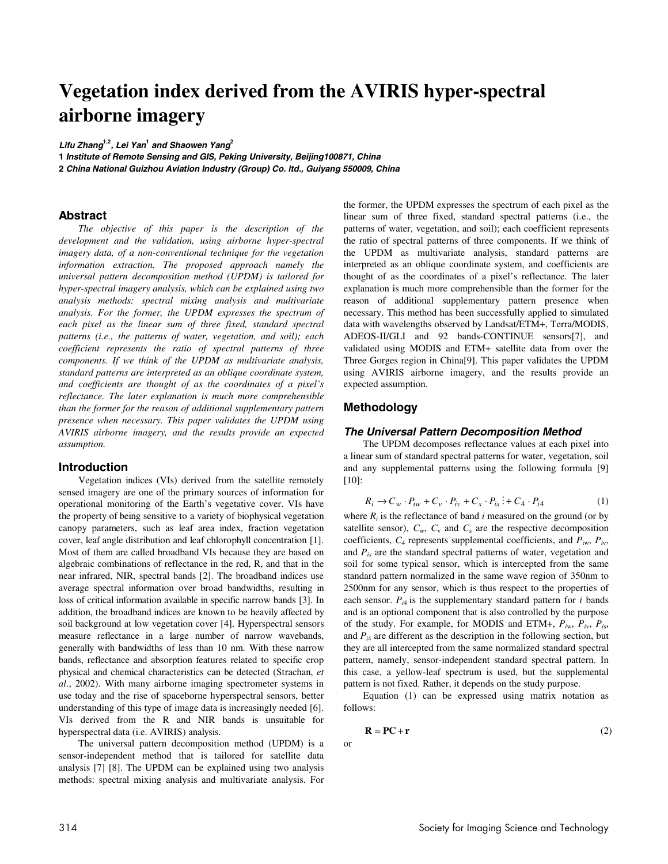# **Vegetation index derived from the AVIRIS hyper-spectral airborne imagery**

**Lifu Zhang1,2, Lei Yan<sup>1</sup> and Shaowen Yang<sup>2</sup>**

**1 Institute of Remote Sensing and GIS, Peking University, Beijing100871, China 2 China National Guizhou Aviation Industry (Group) Co. ltd., Guiyang 550009, China**

# **Abstract**

*The objective of this paper is the description of the development and the validation, using airborne hyper-spectral imagery data, of a non-conventional technique for the vegetation information extraction. The proposed approach namely the universal pattern decomposition method (UPDM) is tailored for hyper-spectral imagery analysis, which can be explained using two analysis methods: spectral mixing analysis and multivariate analysis. For the former, the UPDM expresses the spectrum of*  each pixel as the linear sum of three fixed, standard spectral *patterns (i.e., the patterns of water, vegetation, and soil); each coefficient represents the ratio of spectral patterns of three components. If we think of the UPDM as multivariate analysis, standard patterns are interpreted as an oblique coordinate system, and coefficients are thought of as the coordinates of a pixel's reflectance. The later explanation is much more comprehensible than the former for the reason of additional supplementary pattern presence when necessary. This paper validates the UPDM using AVIRIS airborne imagery, and the results provide an expected assumption.* 

## **Introduction**

Vegetation indices (VIs) derived from the satellite remotely sensed imagery are one of the primary sources of information for operational monitoring of the Earth's vegetative cover. VIs have the property of being sensitive to a variety of biophysical vegetation canopy parameters, such as leaf area index, fraction vegetation cover, leaf angle distribution and leaf chlorophyll concentration [1]. Most of them are called broadband VIs because they are based on algebraic combinations of reflectance in the red, R, and that in the near infrared, NIR, spectral bands [2]. The broadband indices use average spectral information over broad bandwidths, resulting in loss of critical information available in specific narrow bands [3]. In addition, the broadband indices are known to be heavily affected by soil background at low vegetation cover [4]. Hyperspectral sensors measure reflectance in a large number of narrow wavebands, generally with bandwidths of less than 10 nm. With these narrow bands, reflectance and absorption features related to specific crop physical and chemical characteristics can be detected (Strachan, *et al*., 2002). With many airborne imaging spectrometer systems in use today and the rise of spaceborne hyperspectral sensors, better understanding of this type of image data is increasingly needed [6]. VIs derived from the R and NIR bands is unsuitable for hyperspectral data (i.e. AVIRIS) analysis.

The universal pattern decomposition method (UPDM) is a sensor-independent method that is tailored for satellite data analysis [7] [8]. The UPDM can be explained using two analysis methods: spectral mixing analysis and multivariate analysis. For the former, the UPDM expresses the spectrum of each pixel as the linear sum of three fixed, standard spectral patterns (i.e., the patterns of water, vegetation, and soil); each coefficient represents the ratio of spectral patterns of three components. If we think of the UPDM as multivariate analysis, standard patterns are interpreted as an oblique coordinate system, and coefficients are thought of as the coordinates of a pixel's reflectance. The later explanation is much more comprehensible than the former for the reason of additional supplementary pattern presence when necessary. This method has been successfully applied to simulated data with wavelengths observed by Landsat/ETM+, Terra/MODIS, ADEOS-II/GLI and 92 bands-CONTINUE sensors[7], and validated using MODIS and ETM+ satellite data from over the Three Gorges region in China[9]. This paper validates the UPDM using AVIRIS airborne imagery, and the results provide an expected assumption.

# **Methodology**

### **The Universal Pattern Decomposition Method**

The UPDM decomposes reflectance values at each pixel into a linear sum of standard spectral patterns for water, vegetation, soil and any supplemental patterns using the following formula [9] [10]:

$$
R_i \rightarrow C_w \cdot P_{iw} + C_v \cdot P_{iv} + C_s \cdot P_{is} \dot{f} + C_4 \cdot P_{i4}
$$
 (1)

where  $R_i$  is the reflectance of band  $i$  measured on the ground (or by satellite sensor),  $C_w$ ,  $C_v$  and  $C_s$  are the respective decomposition coefficients,  $C_4$  represents supplemental coefficients, and  $P_{iw}$ ,  $P_{iv}$ , and *Pis* are the standard spectral patterns of water, vegetation and soil for some typical sensor, which is intercepted from the same standard pattern normalized in the same wave region of 350nm to 2500nm for any sensor, which is thus respect to the properties of each sensor.  $P_{i4}$  is the supplementary standard pattern for  $i$  bands and is an optional component that is also controlled by the purpose of the study. For example, for MODIS and ETM+, *Pi*w, *Pi*v, *Pi*s, and  $P_{i4}$  are different as the description in the following section, but they are all intercepted from the same normalized standard spectral pattern, namely, sensor-independent standard spectral pattern. In this case, a yellow-leaf spectrum is used, but the supplemental pattern is not fixed. Rather, it depends on the study purpose.

Equation (1) can be expressed using matrix notation as follows:

$$
\mathbf{R} = \mathbf{P}\mathbf{C} + \mathbf{r} \tag{2}
$$

or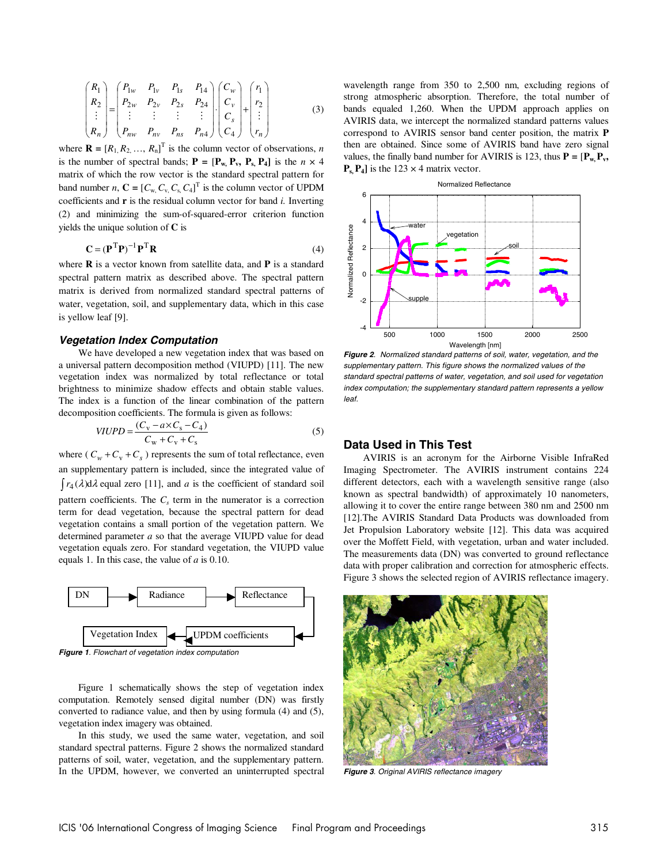$$
\begin{pmatrix} R_1 \\ R_2 \\ \vdots \\ R_n \end{pmatrix} = \begin{pmatrix} P_{1w} & P_{1v} & P_{1s} & P_{14} \\ P_{2w} & P_{2v} & P_{2s} & P_{24} \\ \vdots & \vdots & \vdots & \vdots \\ P_{nw} & P_{nv} & P_{ns} & P_{n4} \end{pmatrix} \begin{pmatrix} C_w \\ C_v \\ C_s \\ C_4 \end{pmatrix} + \begin{pmatrix} r_1 \\ r_2 \\ \vdots \\ r_n \end{pmatrix}
$$
 (3)

where  $\mathbf{R} = [R_1, R_2, ..., R_n]^T$  is the column vector of observations, *n* is the number of spectral bands;  $P = [P_w, P_v, P_s, P_4]$  is the  $n \times 4$ matrix of which the row vector is the standard spectral pattern for band number *n*,  $\mathbf{C} = [C_{w}, C_{v}, C_{s}, C_{4}]^{T}$  is the column vector of UPDM coefficients and **r** is the residual column vector for band *i.* Inverting (2) and minimizing the sum-of-squared-error criterion function yields the unique solution of **C** is

$$
\mathbf{C} = (\mathbf{P}^{\mathrm{T}} \mathbf{P})^{-1} \mathbf{P}^{\mathrm{T}} \mathbf{R} \tag{4}
$$

where **R** is a vector known from satellite data, and **P** is a standard spectral pattern matrix as described above. The spectral pattern matrix is derived from normalized standard spectral patterns of water, vegetation, soil, and supplementary data, which in this case is yellow leaf [9].

## **Vegetation Index Computation**

We have developed a new vegetation index that was based on a universal pattern decomposition method (VIUPD) [11]. The new vegetation index was normalized by total reflectance or total brightness to minimize shadow effects and obtain stable values. The index is a function of the linear combination of the pattern decomposition coefficients. The formula is given as follows:

$$
VIUPD = \frac{(C_{\rm v} - a \times C_{\rm s} - C_4)}{C_{\rm w} + C_{\rm v} + C_{\rm s}}\tag{5}
$$

where ( $C_w + C_v + C_s$ ) represents the sum of total reflectance, even an supplementary pattern is included, since the integrated value of  $\int r_4(\lambda) d\lambda$  equal zero [11], and *a* is the coefficient of standard soil pattern coefficients. The  $C<sub>s</sub>$  term in the numerator is a correction term for dead vegetation, because the spectral pattern for dead vegetation contains a small portion of the vegetation pattern. We determined parameter *a* so that the average VIUPD value for dead vegetation equals zero. For standard vegetation, the VIUPD value



**Figure 1**. Flowchart of vegetation index computation

equals 1. In this case, the value of *a* is 0.10.

Figure 1 schematically shows the step of vegetation index computation. Remotely sensed digital number (DN) was firstly converted to radiance value, and then by using formula (4) and (5), vegetation index imagery was obtained.

In this study, we used the same water, vegetation, and soil standard spectral patterns. Figure 2 shows the normalized standard patterns of soil, water, vegetation, and the supplementary pattern. In the UPDM, however, we converted an uninterrupted spectral wavelength range from 350 to 2,500 nm, excluding regions of strong atmospheric absorption. Therefore, the total number of bands equaled 1,260. When the UPDM approach applies on AVIRIS data, we intercept the normalized standard patterns values correspond to AVIRIS sensor band center position, the matrix **P** then are obtained. Since some of AVIRIS band have zero signal values, the finally band number for AVIRIS is 123, thus  $P = [P_w, P_v,$  $P_s$ ,  $P_4$ ] is the 123  $\times$  4 matrix vector.



**Figure 2**. Normalized standard patterns of soil, water, vegetation, and the supplementary pattern. This figure shows the normalized values of the standard spectral patterns of water, vegetation, and soil used for vegetation index computation; the supplementary standard pattern represents a yellow leaf.

# **Data Used in This Test**

AVIRIS is an acronym for the Airborne Visible InfraRed Imaging Spectrometer. The AVIRIS instrument contains 224 different detectors, each with a wavelength sensitive range (also known as spectral bandwidth) of approximately 10 nanometers, allowing it to cover the entire range between 380 nm and 2500 nm [12].The AVIRIS Standard Data Products was downloaded from Jet Propulsion Laboratory website [12]. This data was acquired over the Moffett Field, with vegetation, urban and water included. The measurements data (DN) was converted to ground reflectance data with proper calibration and correction for atmospheric effects. Figure 3 shows the selected region of AVIRIS reflectance imagery.



**Figure 3**. Original AVIRIS reflectance imagery